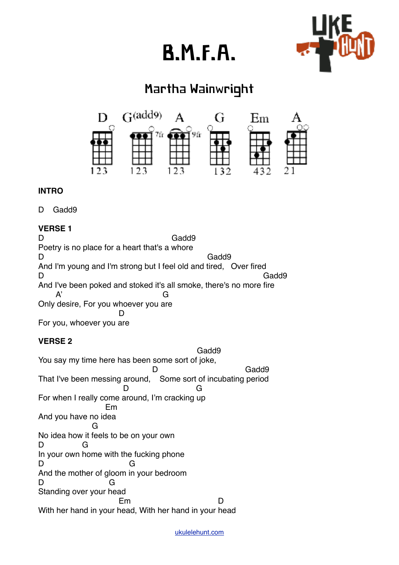# B.M.F.A.



# Martha Wainwright



# **INTRO**

D Gadd9

# **VERSE 1**

D Gadd9 Poetry is no place for a heart that's a whore D Gadd9 And I'm young and I'm strong but I feel old and tired, Over fired D Gadd9 And I've been poked and stoked it's all smoke, there's no more fire A' G Only desire, For you whoever you are **District of the Contract D** For you, whoever you are

# **VERSE 2**

 Gadd9 You say my time here has been some sort of joke, D Gadd9 That I've been messing around, Some sort of incubating period D G For when I really come around, I'm cracking up Em And you have no idea **G** G No idea how it feels to be on your own D G In your own home with the fucking phone D G And the mother of gloom in your bedroom D G Standing over your head en de la Borde de la Borde de la Borde de la Borde de la Borde de la Borde de la Borde de la Borde de la Borde With her hand in your head, With her hand in your head